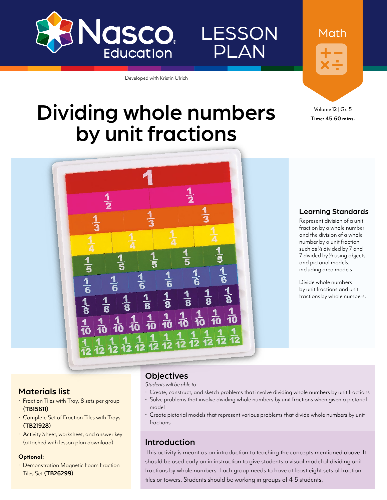

PLAN

LESSON

Developed with Kristin Ulrich

# Dividing whole numbers by unit fractions



Math

Volume 12 | Gr. 5 **Time: 45-60 mins.**



#### Learning Standards

Represent division of a unit fraction by a whole number and the division of a whole number by a unit fraction such as  $\frac{1}{3}$  divided by 7 and 7 divided by 1/3 using objects and pictorial models, including area models.

Divide whole numbers by unit fractions and unit fractions by whole numbers.

#### Materials list

- Fraction Tiles with Tray, 8 sets per group **[\(TB15811](http://www.enasco.com/p/TB15811))**
- Complete Set of Fraction Tiles with Trays **[\(TB21928](http://www.enasco.com/p/TB21928))**
- Activity Sheet, worksheet, and answer key (attached with lesson plan download)

#### **Optional:**

• Demonstration Magnetic Foam Fraction Tiles Set **[\(TB26299\)](http://www.enasco.com/p/TB26299)**

#### **Objectives**

*Students will be able to…*

- Create, construct, and sketch problems that involve dividing whole numbers by unit fractions
- Solve problems that involve dividing whole numbers by unit fractions when given a pictorial model
- Create pictorial models that represent various problems that divide whole numbers by unit fractions

### Introduction

This activity is meant as an introduction to teaching the concepts mentioned above. It should be used early on in instruction to give students a visual model of dividing unit fractions by whole numbers. Each group needs to have at least eight sets of fraction tiles or towers. Students should be working in groups of 4-5 students.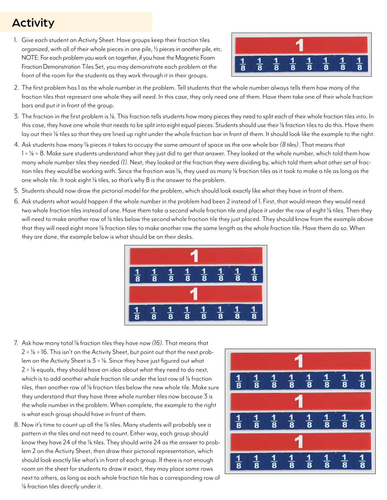## Activity

1. Give each student an Activity Sheet. Have groups keep their fraction tiles organized, with all of their whole pieces in one pile,  $\frac{1}{2}$  pieces in another pile, etc. NOTE: For each problem you work on together, if you have the Magnetic Foam Fraction Demonstration Tiles Set, you may demonstrate each problem at the front of the room for the students as they work through it in their groups.



- 2. The first problem has 1 as the whole number in the problem. Tell students that the whole number always tells them how many of the fraction tiles that represent one whole they will need. In this case, they only need one of them. Have them take one of their whole fraction bars and put it in front of the group.
- 3. The fraction in the first problem is 1/8. This fraction tells students how many pieces they need to split each of their whole fraction tiles into. In this case, they have one whole that needs to be split into eight equal pieces. Students should use their 1/8 fraction tiles to do this. Have them lay out their 1/8 tiles so that they are lined up right under the whole fraction bar in front of them. It should look like the example to the right.
- 4. Ask students how many 1/8 pieces it takes to occupy the same amount of space as the one whole bar *(8 tiles)*. That means that  $1 \div 1/8 = 8$ . Make sure students understand what they just did to get that answer. They looked at the whole number, which told them how many whole number tiles they needed *(1)*. Next, they looked at the fraction they were dividing by, which told them what other set of fraction tiles they would be working with. Since the fraction was 1/8, they used as many 1/8 fraction tiles as it took to make a tile as long as the one whole tile. It took eight  $\frac{1}{8}$  tiles, so that's why  $8$  is the answer to the problem.
- 5. Students should now draw the pictorial model for the problem, which should look exactly like what they have in front of them.
- 6. Ask students what would happen if the whole number in the problem had been 2 instead of 1. First, that would mean they would need two whole fraction tiles instead of one. Have them take a second whole fraction tile and place it under the row of eight 1/8 tiles. Then they will need to make another row of 1/8 tiles below the second whole fraction tile they just placed. They should know from the example above that they will need eight more 1/8 fraction tiles to make another row the same length as the whole fraction tile. Have them do so. When they are done, the example below is what should be on their desks.



- 7. Ask how many total <sup>1/8</sup> fraction tiles they have now (16). That means that  $2 \div 1/8 = 16$ . This isn't on the Activity Sheet, but point out that the next problem on the Activity Sheet is  $3 \div \frac{1}{8}$ . Since they have just figured out what  $2 \div 1/8$  equals, they should have an idea about what they need to do next, which is to add another whole fraction tile under the last row of <sup>1/8</sup> fraction tiles, then another row of 1/8 fraction tiles below the new whole tile. Make sure they understand that they have three whole number tiles now because 3 is the whole number in the problem. When complete, the example to the right is what each group should have in front of them.
- 8. Now it's time to count up all the 1/8 tiles. Many students will probably see a pattern in the tiles and not need to count. Either way, each group should know they have 24 of the 1/8 tiles. They should write 24 as the answer to problem 2 on the Activity Sheet, then draw their pictorial representation, which should look exactly like what's in front of each group. If there is not enough room on the sheet for students to draw it exact, they may place some rows next to others, as long as each whole fraction tile has a corresponding row of  $\frac{1}{8}$  fraction tiles directly under it.

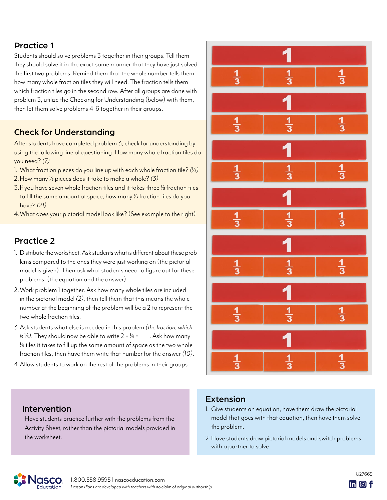## Practice 1

Students should solve problems 3 together in their groups. Tell them they should solve it in the exact same manner that they have just solved the first two problems. Remind them that the whole number tells them how many whole fraction tiles they will need. The fraction tells them which fraction tiles go in the second row. After all groups are done with problem 3, utilize the Checking for Understanding (below) with them, then let them solve problems 4-6 together in their groups.

## Check for Understanding

After students have completed problem 3, check for understanding by using the following line of questioning: How many whole fraction tiles do you need? *(7)*

- 1. What fraction pieces do you line up with each whole fraction tile? *(*1/3*)*
- 2.How many 1/3 pieces does it take to make a whole? *(3)*
- 3. If you have seven whole fraction tiles and it takes three 1/3 fraction tiles to fill the same amount of space, how many <sup>1/3</sup> fraction tiles do you have? *(21)*
- 4.What does your pictorial model look like? (See example to the right)

## Practice 2

- 1. Distribute the worksheet. Ask students what is different about these problems compared to the ones they were just working on (the pictorial model is given). Then ask what students need to figure out for these problems. (the equation and the answer).
- 2.Work problem 1 together. Ask how many whole tiles are included in the pictorial model *(2)*, then tell them that this means the whole number at the beginning of the problem will be a 2 to represent the two whole fraction tiles.
- 3.Ask students what else is needed in this problem *(the fraction, which is*  $\frac{1}{5}$ *).* They should now be able to write  $2 \div \frac{1}{5} =$  Ask how many  $1/5$  tiles it takes to fill up the same amount of space as the two whole fraction tiles, then have them write that number for the answer *(10)*.
- 4.Allow students to work on the rest of the problems in their groups.



### Extension

- 1. Give students an equation, have them draw the pictorial model that goes with that equation, then have them solve the problem.
- 2.Have students draw pictorial models and switch problems with a partner to solve.

## Intervention

Have students practice further with the problems from the Activity Sheet, rather than the pictorial models provided in the worksheet.

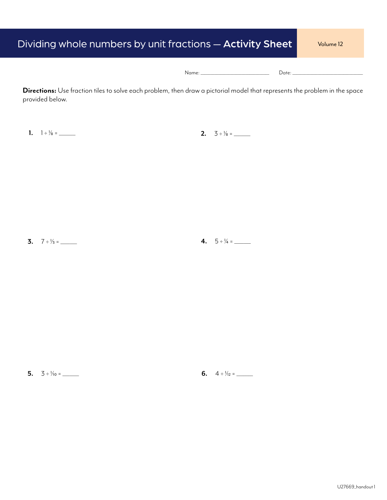| Dividing whole numbers by unit fractions – <b>Activity Sheet</b>                                                                              | Volume 12                                                                                                                                                                                                                      |
|-----------------------------------------------------------------------------------------------------------------------------------------------|--------------------------------------------------------------------------------------------------------------------------------------------------------------------------------------------------------------------------------|
|                                                                                                                                               | Date: the contract of the contract of the contract of the contract of the contract of the contract of the contract of the contract of the contract of the contract of the contract of the contract of the contract of the cont |
| Directions: Use fraction tiles to solve each problem, then draw a pictorial model that represents the problem in the space<br>provided below. |                                                                                                                                                                                                                                |

**1.** 1 ÷ 1/8 = \_\_\_\_\_\_\_ **2.** 3 ÷ 1/8 = \_\_\_\_\_\_\_

**3.**  $7 \div \frac{1}{3} =$  **4.**  $5 \div \frac{1}{4} =$  **4.** 5 ÷ 1/4 = \_\_\_\_\_\_

**5.**  $3 \div 1/10 =$  **6.**  $4 \div 1/12 =$  **6.**  $4 \div 1/12 =$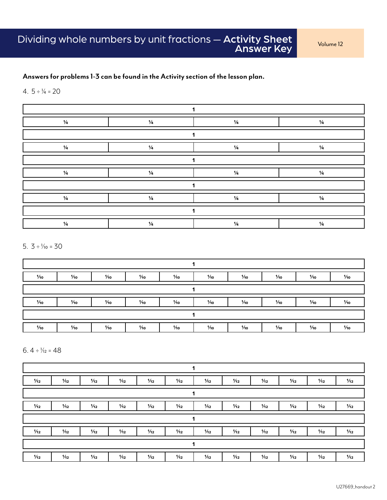#### **Answers for problems 1-3 can be found in the Activity section of the lesson plan.**

#### 4.  $5 \div 4 = 20$



5.  $3 \div Y_{10} = 30$ 



6.  $4 \div \frac{1}{12} = 48$ 

| 1/12 | 1/12 | 1/12 | 1/12 | 1/12 | 1/12 | 1/12 | 1/12 | 1/12 | 1/12 | 1/12 | 1/12 |
|------|------|------|------|------|------|------|------|------|------|------|------|
| 1    |      |      |      |      |      |      |      |      |      |      |      |
| 1/12 | 1/12 | 1/12 | 1/12 | 1/12 | 1/12 | 1/12 | 1/12 | 1/12 | 1/12 | 1/12 | 1/12 |
|      |      |      |      |      |      | 1    |      |      |      |      |      |
| 1/12 | 1/12 | 1/12 | 1/12 | 1/12 | 1/12 | 1/12 | 1/12 | 1/12 | 1/12 | 1/12 | 1/12 |
| 1    |      |      |      |      |      |      |      |      |      |      |      |
| 1/12 | 1/12 | 1/12 | 1/12 | 1/12 | 1/12 | 1/12 | 1/12 | 1/12 | 1/12 | 1/12 | 1/12 |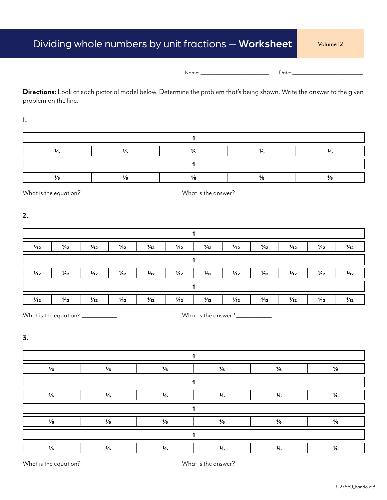| Name:<br>__ |  |
|-------------|--|
|             |  |

**Directions:** Look at each pictorial model below. Determine the problem that's being shown. Write the answer to the given problem on the line.

**1.**

What is the equation? \_\_\_\_\_\_\_\_\_\_\_\_\_\_\_ What is the answer? \_\_\_\_\_\_\_\_\_\_\_\_\_\_\_

**2.**

| 1/12                                         | 1/12 | 1/12 | 1/12 | 1/12 | 1/12 | 1/12 | 1/12 | 1/12 | 1/12 | 1/12 | 1/12 |
|----------------------------------------------|------|------|------|------|------|------|------|------|------|------|------|
|                                              |      |      |      |      |      |      |      |      |      |      |      |
| 1/12                                         | 1/12 | 1/12 | 1/12 | 1/12 | 1/12 | 1/12 | 1/12 | 1/12 | 1/12 | 1/12 | 1/12 |
|                                              |      |      |      |      |      |      |      |      |      |      |      |
| 1/12                                         | 1/12 | 1/12 | 1/12 | 1/12 | 1/12 | 1/12 | 1/12 | 1/12 | 1/12 | 1/12 | 1/12 |
| What is the equation?<br>What is the answer? |      |      |      |      |      |      |      |      |      |      |      |

**3.**

**1 1/6 1/6 1/6 1/6 1/6 1/6 1 1/6 1/6 1/6 1/6 1/6 1/6 1 1/6 1/6 1/6 1/6 1/6 1/6 1 1/6 1/6 1/6 1/6 1/6 1/6**

What is the equation? \_\_\_\_\_\_\_\_\_\_\_\_\_\_\_ What is the answer? \_\_\_\_\_\_\_\_\_\_\_\_\_\_\_